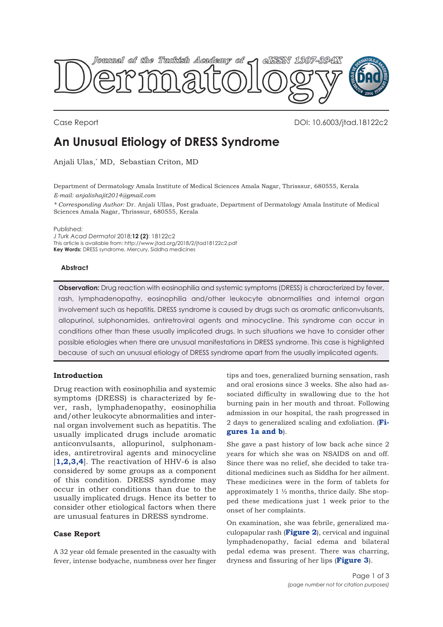

Case Report DOI: 10.6003/jtad.18122c2

# **An Unusual Etiology of DRESS Syndrome**

Anjali Ulas,\* MD, Sebastian Criton, MD

Department of Dermatology Amala Institute of Medical Sciences Amala Nagar, Thrisssur, 680555, Kerala *E-mail: anjalishajit2014@gmail.com*

*\* Corresponding Author:* Dr. Anjali Ullas, Post graduate, Department of Dermatology Amala Institute of Medical Sciences Amala Nagar, Thrisssur, 680555, Kerala

Published:

*J Turk Acad Dermatol* 2018;**12 (2)**: 18122c2 This article is available from: http://www.jtad.org/2018/2/jtad18122c2.pdf **Key Words:** DRESS syndrome, Mercury, Siddha medicines

#### **Abstract**

**Observation:** Drug reaction with eosinophilia and systemic symptoms (DRESS) is characterized by fever, rash, lymphadenopathy, eosinophilia and/other leukocyte abnormalities and internal organ involvement such as hepatitis. DRESS syndrome is caused by drugs such as aromatic anticonvulsants, allopurinol, sulphonamides, antiretroviral agents and minocycline. This syndrome can occur in conditions other than these usually implicated drugs. In such situations we have to consider other possible etiologies when there are unusual manifestations in DRESS syndrome. This case is highlighted because of such an unusual etiology of DRESS syndrome apart from the usually implicated agents.

# **Introduction**

Drug reaction with eosinophilia and systemic symptoms (DRESS) is characterized by fever, rash, lymphadenopathy, eosinophilia and/other leukocyte abnormalities and internal organ involvement such as hepatitis. The usually implicated drugs include aromatic anticonvulsants, allopurinol, sulphonamides, antiretroviral agents and minocycline [**[1,2,3](#page-2-0),[4](#page-2-0)**]. The reactivation of HHV-6 is also considered by some groups as a component of this condition. DRESS syndrome may occur in other conditions than due to the usually implicated drugs. Hence its better to consider other etiological factors when there are unusual features in DRESS syndrome.

# **Case Report**

A 32 year old female presented in the casualty with fever, intense bodyache, numbness over her finger

tips and toes, generalized burning sensation, rash and oral erosions since 3 weeks. She also had associated difficulty in swallowing due to the hot burning pain in her mouth and throat. Following admission in our hospital, the rash progressed in [2 days to generalized scaling and exfoliation. \(](#page-1-0)**Figures 1a and b**).

She gave a past history of low back ache since 2 years for which she was on NSAIDS on and off. Since there was no relief, she decided to take traditional medicines such as Siddha for her ailment. These medicines were in the form of tablets for approximately 1 ½ months, thrice daily. She stopped these medications just 1 week prior to the onset of her complaints.

On examination, she was febrile, generalized maculopapular rash (**[Figure 2](#page-1-0)**), cervical and inguinal lymphadenopathy, facial edema and bilateral pedal edema was present. There was charring, dryness and fissuring of her lips (**[Figure 3](#page-1-0)**).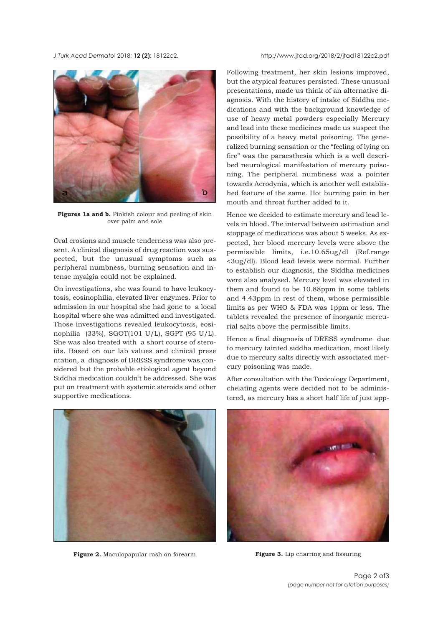#### <span id="page-1-0"></span>*J Turk Acad Dermato*l 2018; **12 (2)**: 18122c2. http://www.jtad.org/2018/2/jtad18122c2.pdf



Figures 1a and b. Pinkish colour and peeling of skin over palm and sole

Oral erosions and muscle tenderness was also present. A clinical diagnosis of drug reaction was suspected, but the unusual symptoms such as peripheral numbness, burning sensation and intense myalgia could not be explained.

On investigations, she was found to have leukocytosis, eosinophilia, elevated liver enzymes. Prior to admission in our hospital she had gone to a local hospital where she was admitted and investigated. Those investigations revealed leukocytosis, eosinophilia (33%), SGOT(101 U/L), SGPT (95 U/L). She was also treated with a short course of steroids. Based on our lab values and clinical prese ntation, a diagnosis of DRESS syndrome was considered but the probable etiological agent beyond Siddha medication couldn't be addressed. She was put on treatment with systemic steroids and other supportive medications.



**Figure 2.** Maculopapular rash on forearm **Figure 3.** Lip charring and fissuring

Following treatment, her skin lesions improved, but the atypical features persisted. These unusual presentations, made us think of an alternative diagnosis. With the history of intake of Siddha medications and with the background knowledge of use of heavy metal powders especially Mercury and lead into these medicines made us suspect the possibility of a heavy metal poisoning. The generalized burning sensation or the "feeling of lying on fire" was the paraesthesia which is a well described neurological manifestation of mercury poisoning. The peripheral numbness was a pointer towards Acrodynia, which is another well established feature of the same. Hot burning pain in her mouth and throat further added to it.

Hence we decided to estimate mercury and lead levels in blood. The interval between estimation and stoppage of medications was about 5 weeks. As expected, her blood mercury levels were above the permissible limits, i.e.10.65ug/dl (Ref.range <3ug/dl). Blood lead levels were normal. Further to establish our diagnosis, the Siddha medicines were also analysed. Mercury level was elevated in them and found to be 10.88ppm in some tablets and 4.43ppm in rest of them, whose permissible limits as per WHO & FDA was 1ppm or less. The tablets revealed the presence of inorganic mercurial salts above the permissible limits.

Hence a final diagnosis of DRESS syndrome due to mercury tainted siddha medication, most likely due to mercury salts directly with associated mercury poisoning was made.

After consultation with the Toxicology Department, chelating agents were decided not to be administered, as mercury has a short half life of just app-